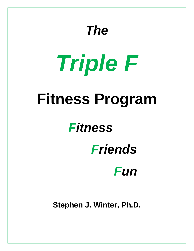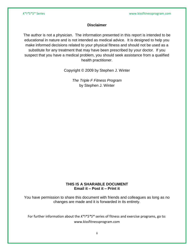# **Disclaimer**

The author is not a physician. The information presented in this report is intended to be educational in nature and is not intended as medical advice. It is designed to help you make informed decisions related to your physical fitness and should not be used as a substitute for any treatment that may have been prescribed by your doctor. If you suspect that you have a medical problem, you should seek assistance from a qualified health practitioner.

Copyright © 2009 by Stephen J. Winter

*The Triple F Fitness Program* by Stephen J. Winter

# **THIS IS A SHARABLE DOCUMENT Email it – Post it – Print it**

You have permission to share this document with friends and colleagues as long as no changes are made and it is forwarded in its entirety.

For further information about the *K\*I\*S\*S\** series of fitness and exercise programs, go to: [www.kissfitnessprogram.com](http://www.kissfitnessprogram.com/)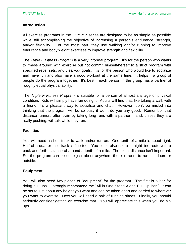# **Introduction**

All exercise programs in the *K\*I\*S\*S\** series are designed to be as simple as possible while still accomplishing the objective of increasing a person's endurance, strength, and/or flexibility. For the most part, they use walking and/or running to improve endurance and body weight exercises to improve strength and flexibility.

The *Triple F Fitness Program* is a very informal program. It's for the person who wants to "mess around" with exercise but not commit himself/herself to a strict program with specified reps, sets, and clear-cut goals. It's for the person who would like to socialize and have fun and also have a good workout at the same time. It helps if a group of people do the program together. It's best if each person in the group has a partner of roughly equal physical ability.

The *Triple F Fitness Program* is suitable for a person of almost any age or physical condition. Kids will simply have fun doing it. Adults will find that, like taking a walk with a friend, it's a pleasant way to socialize and chat. However, don't be misled into thinking that the program will be so easy it won't do you any good. Remember that distance runners often train by taking long runs with a partner – and, unless they are really pushing, will talk while they run.

# **Facilities**

You will need a short track to walk and/or run on. One tenth of a mile is about right. Half of a quarter mile track is fine too. You could also use a straight line route with a back and forth distance of around a tenth of a mile. The exact distance isn't important. So, the program can be done just about anywhere there is room to run – indoors or outside.

# **Equipment**

You will also need two pieces of "equipment" for the program. The first is a bar for doing pull-ups. I strongly recommend the "All-in-One Stand Alone Pull-Up Bar." It can be set to just about any height you want and can be taken apart and carried to wherever you want to exercise. Next you will need a pair of running shoes. Finally, you should seriously consider getting an exercise mat. You will appreciate this when you do situps.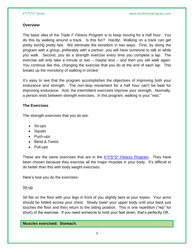### **Overview**

The basic idea of the *Triple F Fitness Program* is to keep moving for a half hour. You do this by walking around a track. Is this fun? Hardly! Walking on a track can get pretty boring pretty fast. We eliminate the boredom in two ways. First, by doing the program with a group, preferably with a partner, you will have someone to talk to while you walk. Second, you do a strength exercise every time you complete a lap. The exercise will only take a minute or two – maybe less – and then you will walk again. You continue like this, changing the exercise that you do at the end of each lap. This breaks up the monotony of walking in circles!

It's easy to see that the program accomplishes the objectives of improving both your endurance and strength. The non-stop movement for a half hour can't be beat for improving endurance. And, the intermittent exercises improve your strength. Normally, a person rests between strength exercises. In this program, walking is your "rest."

# **The Exercises**

The strength exercises that you do are:

- Sit-ups
- Squats
- Push-ups
- Bend & Twists
- Pull-ups

These are the same exercises that are in the *[K\\*I\\*S\\*S\\* Fitness Program](http://www.kissfitnessprogram.com/kiss-fitness-program.html)*. They have been chosen because they exercise all the major muscles in your body. It's difficult to do better than this with body weight exercises.

Here's how you do the exercises:

# Sit-up

Sit flat on the floor with your legs in front of you slightly bent at your knees. Your arms should be folded across your chest. Slowly lower your upper body until your back just touches the floor and then return to the sitting position. This is one repetition ("rep" for short) of the exercise. If you need someone to hold your feet down, that's perfectly OK.

**Muscles exercised: Stomach.**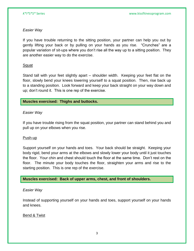# *Easier Way*

If you have trouble returning to the sitting position, your partner can help you out by gently lifting your back or by pulling on your hands as you rise. "Crunches" are a popular variation of sit-ups where you don't rise all the way up to a sitting position. They are another easier way to do the exercise.

# Squat

Stand tall with your feet slightly apart – shoulder width. Keeping your feet flat on the floor, slowly bend your knees lowering yourself to a squat position. Then, rise back up to a standing position. Look forward and keep your back straight on your way down and up; don't round it. This is one rep of the exercise.

# **Muscles exercised: Thighs and buttocks.**

# *Easier Way*

If you have trouble rising from the squat position, your partner can stand behind you and pull up on your elbows when you rise.

# Push-up

Support yourself on your hands and toes. Your back should be straight. Keeping your body rigid, bend your arms at the elbows and slowly lower your body until it just touches the floor. Your chin and chest should touch the floor at the same time. Don't rest on the floor. The minute your body touches the floor, straighten your arms and rise to the starting position. This is one rep of the exercise.

# **Muscles exercised: Back of upper arms, chest, and front of shoulders.**

# *Easier Way*

Instead of supporting yourself on your hands and toes, support yourself on your hands and knees.

# Bend & Twist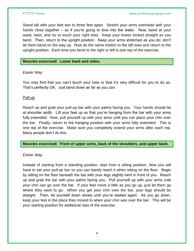Stand tall with your feet two to three feet apart. Stretch your arms overhead with your hands close together – as if you're going to dive into the water. Now, bend at your waist, twist, and try to touch your right toes. Keep your knees locked straight as you bend. Then, return to the upright position. Keep your arms stretched as you do; don't let them bend on the way up. Now do the same motion to the left toes and return to the upright position. Each time you bend to the right or left is one rep of the exercise.

#### **Muscles exercised: Lower back and sides.**

### *Easier Way*

You may find that you can't touch your toes or that it's very difficult for you to do so. That's perfectly OK. Just bend down as far as you can.

### Pull-up

Reach up and grab your pull-up bar with your palms facing you. Your hands should be at shoulder width. Lift your feet up so that you're hanging from the bar with your arms fully extended. Now, pull yourself up with your arms until you can place your chin over the bar. Finally, return to the hanging position with your arms fully extended. This is one rep of the exercise. Make sure you completely extend your arms after each rep. Many people don't do this.

#### **Muscles exercised: Front of upper arms, back of the shoulders, and upper back.**

# *Easier Way*

Instead of starting from a standing position, start from a sitting position. Now you will have to set your pull-up bar so you can barely reach it when sitting on the floor. Begin by sitting on the floor beneath the bar with your legs slightly bent in front of you. Reach up and grab the bar with your palms facing you. Pull yourself up with your arms until your chin can go over the bar. If your feet move a little as you go up, just let them go where they want to go. When you get your chin over the bar, your legs should be straight. Then, let yourself down slowly until you're seated again. As you go down, keep your feet in the place they moved to when your chin was over the bar. This will be your starting position for additional reps of the exercise.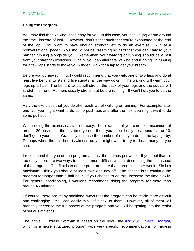# **Using the Program**

You may find that walking is too easy for you. In this case, you should jog or run around the track instead of walk. However, don't sprint such that you're exhausted at the end of the lap. You want to have enough strength left to do an exercise. Run at a "conversational pace." You should not be breathing so hard that you can't talk to your partner running alongside you. Remember, your walking or running should be a rest from your strength exercises. Finally, you can alternate walking and running. If running for a few laps starts to make you winded, walk for a lap to get your breath.

Before you do any running, I would recommend that you walk one or two laps and do at least five bend & twists and five squats (all the way down). The walking will warm your legs up a little. The bend & twists will stretch the back of your legs and the squats will stretch the front. Runners usually stretch out before running. It won't hurt you to do the same.

Vary the exercises that you do after each lap of walking or running. For example, after one lap, you might want to do some push-ups and after the next you might want to do some pull-ups.

When doing the exercises, start out easy. For example, if you can do a maximum of around 20 push-ups, the first time you do them you should only do around five or 10; don't go to your limit. Gradually increase the number of reps you do as the laps go by. Perhaps when the half hour is almost up, you might want to try to do as many as you can.

I recommend that you do the program at least three times per week. If you feel that it's too easy, there are two ways to make it more difficult without decreasing the fun aspect of the program. The first is to do the program more than three times per week. Six is a maximum; I think you should at least take one day off. The second is to continue the program for longer than a half hour. If you choose to do this, increase the time slowly. For general conditioning, I wouldn't recommend doing the program for more than around 45 minutes.

Of course, there are many additional ways that the program can be made more difficult and challenging. You can easily think of a few of them. However, all of them will probably decrease the fun aspect of the program and you will be getting into the realm of serious athletics.

The *Triple F Fitness Program* is based on the book, the *[K\\*I\\*S\\*S\\* Fitness Program](http://www.kissfitnessprogram.com/kiss-fitness-program.html)*, which is a more structured program with very specific recommendations for moving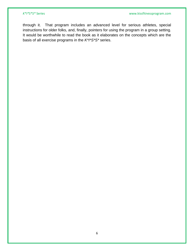through it. That program includes an advanced level for serious athletes, special instructions for older folks, and, finally, pointers for using the program in a group setting. It would be worthwhile to read the book as it elaborates on the concepts which are the basis of all exercise programs in the *K\*I\*S\*S\** series.